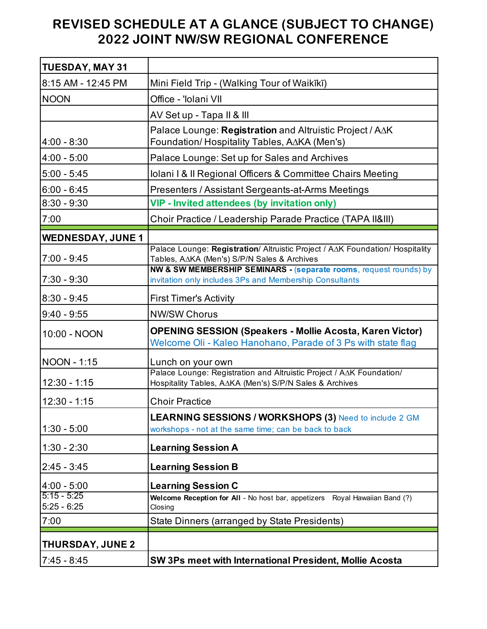## **REVISED SCHEDULE AT A GLANCE (SUBJECT TO CHANGE) 2022 JOINT NW/SW REGIONAL CONFERENCE**

| <b>TUESDAY, MAY 31</b>         |                                                                                                                                 |
|--------------------------------|---------------------------------------------------------------------------------------------------------------------------------|
| 8:15 AM - 12:45 PM             | Mini Field Trip - (Walking Tour of Waikīkī)                                                                                     |
| <b>NOON</b>                    | Office - 'Iolani VII                                                                                                            |
|                                | AV Set up - Tapa II & III                                                                                                       |
| $4:00 - 8:30$                  | Palace Lounge: Registration and Altruistic Project / AAK<br>Foundation/ Hospitality Tables, A∆KA (Men's)                        |
| $4:00 - 5:00$                  | Palace Lounge: Set up for Sales and Archives                                                                                    |
| $5:00 - 5:45$                  | Iolani I & Il Regional Officers & Committee Chairs Meeting                                                                      |
| $6:00 - 6:45$                  | Presenters / Assistant Sergeants-at-Arms Meetings                                                                               |
| $8:30 - 9:30$                  | <b>VIP - Invited attendees (by invitation only)</b>                                                                             |
| 7:00                           | Choir Practice / Leadership Parade Practice (TAPA II&III)                                                                       |
| <b>WEDNESDAY, JUNE 1</b>       |                                                                                                                                 |
| $7:00 - 9:45$                  | Palace Lounge: Registration/ Altruistic Project / AAK Foundation/ Hospitality<br>Tables, A∆KA (Men's) S/P/N Sales & Archives    |
| $7:30 - 9:30$                  | NW & SW MEMBERSHIP SEMINARS - (separate rooms, request rounds) by<br>invitation only includes 3Ps and Membership Consultants    |
| $8:30 - 9:45$                  | <b>First Timer's Activity</b>                                                                                                   |
| $9:40 - 9:55$                  | <b>NW/SW Chorus</b>                                                                                                             |
| 10:00 - NOON                   | <b>OPENING SESSION (Speakers - Mollie Acosta, Karen Victor)</b><br>Welcome Oli - Kaleo Hanohano, Parade of 3 Ps with state flag |
| NOON - 1:15                    | Lunch on your own                                                                                                               |
| $12:30 - 1:15$                 | Palace Lounge: Registration and Altruistic Project / AAK Foundation/<br>Hospitality Tables, A∆KA (Men's) S/P/N Sales & Archives |
| $12:30 - 1:15$                 | <b>Choir Practice</b>                                                                                                           |
| $1:30 - 5:00$                  | <b>LEARNING SESSIONS / WORKSHOPS (3) Need to include 2 GM</b><br>workshops - not at the same time; can be back to back          |
| $1:30 - 2:30$                  | <b>Learning Session A</b>                                                                                                       |
| $2:45 - 3:45$                  | <b>Learning Session B</b>                                                                                                       |
| $4:00 - 5:00$                  | <b>Learning Session C</b>                                                                                                       |
| $5:15 - 5:25$<br>$5:25 - 6:25$ | Welcome Reception for All - No host bar, appetizers Royal Hawaiian Band (?)                                                     |
| 7:00                           | Closing<br>State Dinners (arranged by State Presidents)                                                                         |
|                                |                                                                                                                                 |
| <b>THURSDAY, JUNE 2</b>        |                                                                                                                                 |
| $7:45 - 8:45$                  | SW 3Ps meet with International President, Mollie Acosta                                                                         |